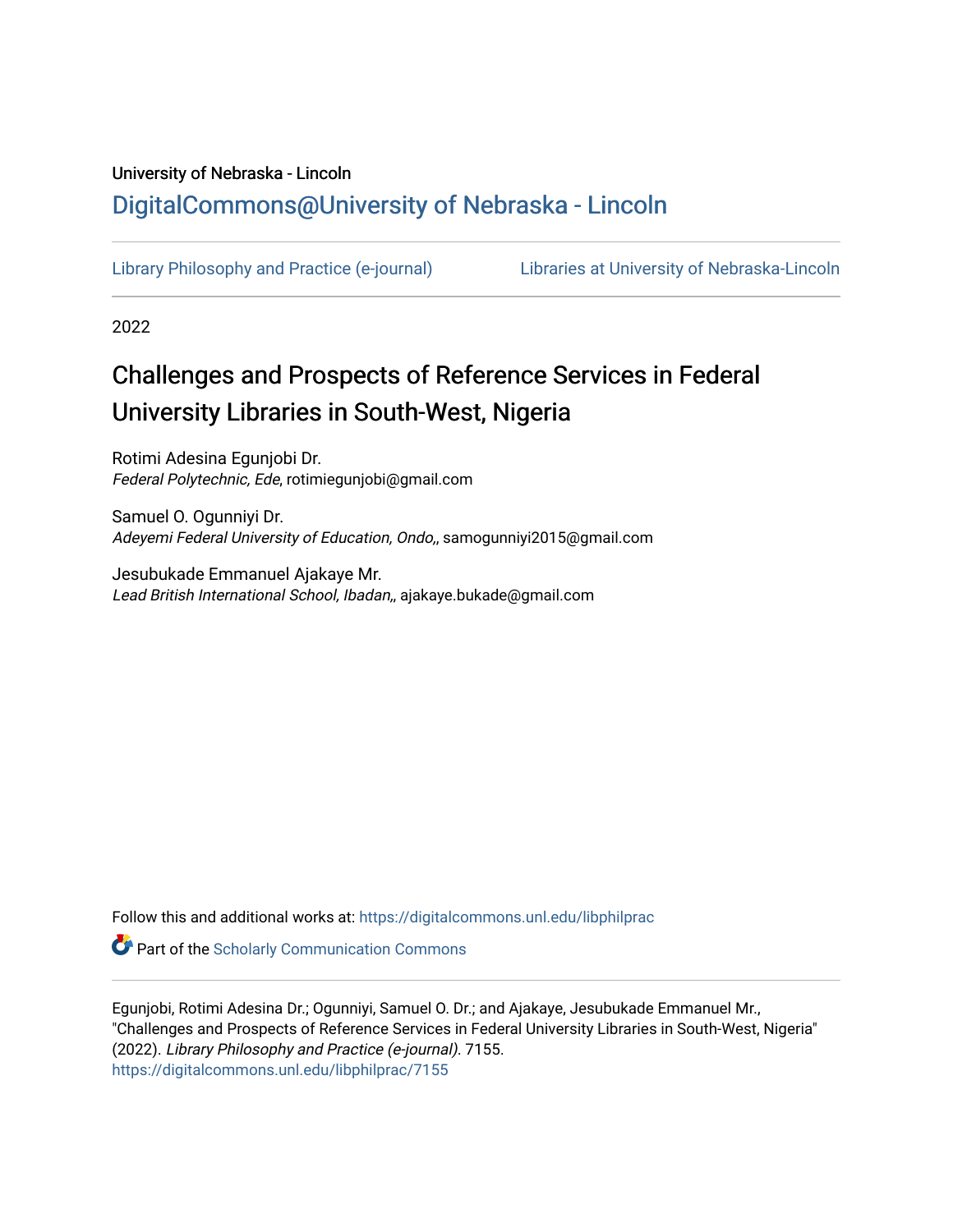# University of Nebraska - Lincoln [DigitalCommons@University of Nebraska - Lincoln](https://digitalcommons.unl.edu/)

[Library Philosophy and Practice \(e-journal\)](https://digitalcommons.unl.edu/libphilprac) [Libraries at University of Nebraska-Lincoln](https://digitalcommons.unl.edu/libraries) 

2022

# Challenges and Prospects of Reference Services in Federal University Libraries in South-West, Nigeria

Rotimi Adesina Egunjobi Dr. Federal Polytechnic, Ede, rotimiegunjobi@gmail.com

Samuel O. Ogunniyi Dr. Adeyemi Federal University of Education, Ondo,, samogunniyi2015@gmail.com

Jesubukade Emmanuel Ajakaye Mr. Lead British International School, Ibadan,, ajakaye.bukade@gmail.com

Follow this and additional works at: [https://digitalcommons.unl.edu/libphilprac](https://digitalcommons.unl.edu/libphilprac?utm_source=digitalcommons.unl.edu%2Flibphilprac%2F7155&utm_medium=PDF&utm_campaign=PDFCoverPages) 

**Part of the Scholarly Communication Commons** 

Egunjobi, Rotimi Adesina Dr.; Ogunniyi, Samuel O. Dr.; and Ajakaye, Jesubukade Emmanuel Mr., "Challenges and Prospects of Reference Services in Federal University Libraries in South-West, Nigeria" (2022). Library Philosophy and Practice (e-journal). 7155. [https://digitalcommons.unl.edu/libphilprac/7155](https://digitalcommons.unl.edu/libphilprac/7155?utm_source=digitalcommons.unl.edu%2Flibphilprac%2F7155&utm_medium=PDF&utm_campaign=PDFCoverPages)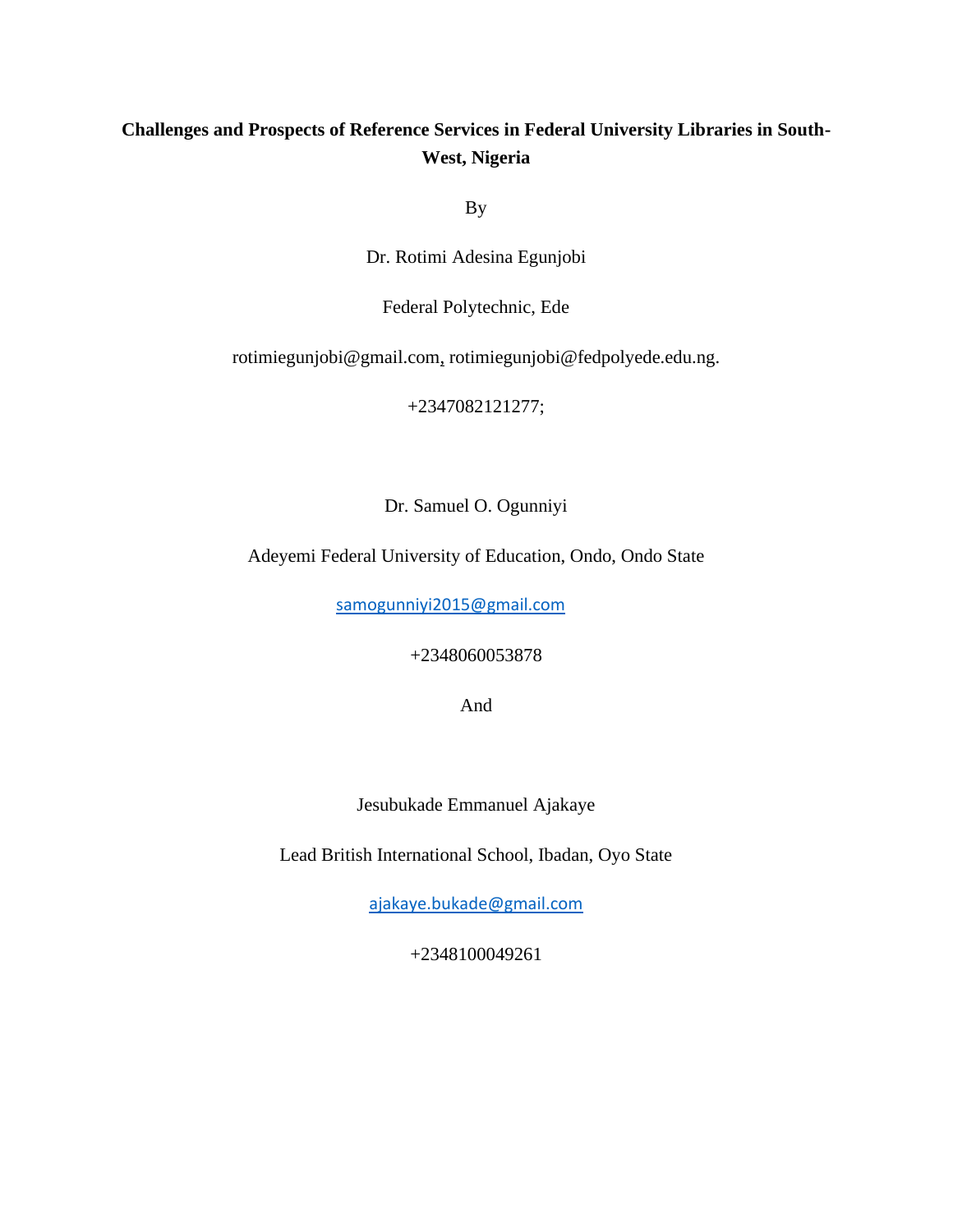# **Challenges and Prospects of Reference Services in Federal University Libraries in South-West, Nigeria**

By

Dr. Rotimi Adesina Egunjobi

Federal Polytechnic, Ede

[rotimiegunjobi@gmail.com,](mailto:delesina510@gmail.com,) rotimiegunjobi@fedpolyede.edu.ng.

+2347082121277;

Dr. Samuel O. Ogunniyi

Adeyemi Federal University of Education, Ondo, Ondo State

[samogunniyi2015@gmail.com](mailto:samogunniyi2015@gmail.com)

+2348060053878

And

Jesubukade Emmanuel Ajakaye

Lead British International School, Ibadan, Oyo State

[ajakaye.bukade@gmail.com](mailto:ajakaye.bukade@gmail.com)

+2348100049261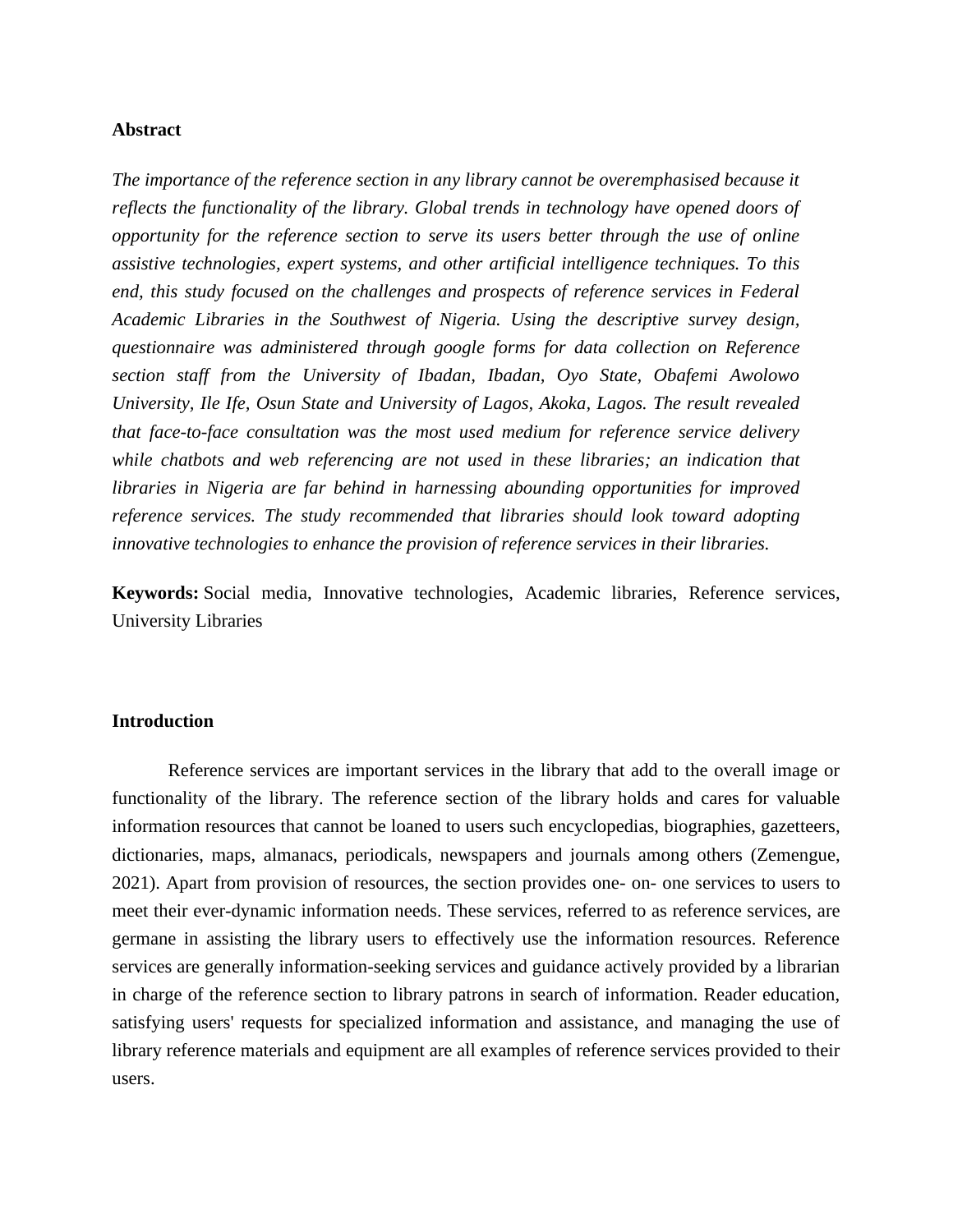# **Abstract**

*The importance of the reference section in any library cannot be overemphasised because it reflects the functionality of the library. Global trends in technology have opened doors of opportunity for the reference section to serve its users better through the use of online assistive technologies, expert systems, and other artificial intelligence techniques. To this end, this study focused on the challenges and prospects of reference services in Federal Academic Libraries in the Southwest of Nigeria. Using the descriptive survey design, questionnaire was administered through google forms for data collection on Reference section staff from the University of Ibadan, Ibadan, Oyo State, Obafemi Awolowo University, Ile Ife, Osun State and University of Lagos, Akoka, Lagos. The result revealed that face-to-face consultation was the most used medium for reference service delivery while chatbots and web referencing are not used in these libraries; an indication that libraries in Nigeria are far behind in harnessing abounding opportunities for improved reference services. The study recommended that libraries should look toward adopting innovative technologies to enhance the provision of reference services in their libraries.*

**Keywords:** Social media, Innovative technologies, Academic libraries, Reference services, University Libraries

# **Introduction**

Reference services are important services in the library that add to the overall image or functionality of the library. The reference section of the library holds and cares for valuable information resources that cannot be loaned to users such encyclopedias, biographies, gazetteers, dictionaries, maps, almanacs, periodicals, newspapers and journals among others (Zemengue, 2021). Apart from provision of resources, the section provides one- on- one services to users to meet their ever-dynamic information needs. These services, referred to as reference services, are germane in assisting the library users to effectively use the information resources. Reference services are generally information-seeking services and guidance actively provided by a librarian in charge of the reference section to library patrons in search of information. Reader education, satisfying users' requests for specialized information and assistance, and managing the use of library reference materials and equipment are all examples of reference services provided to their users.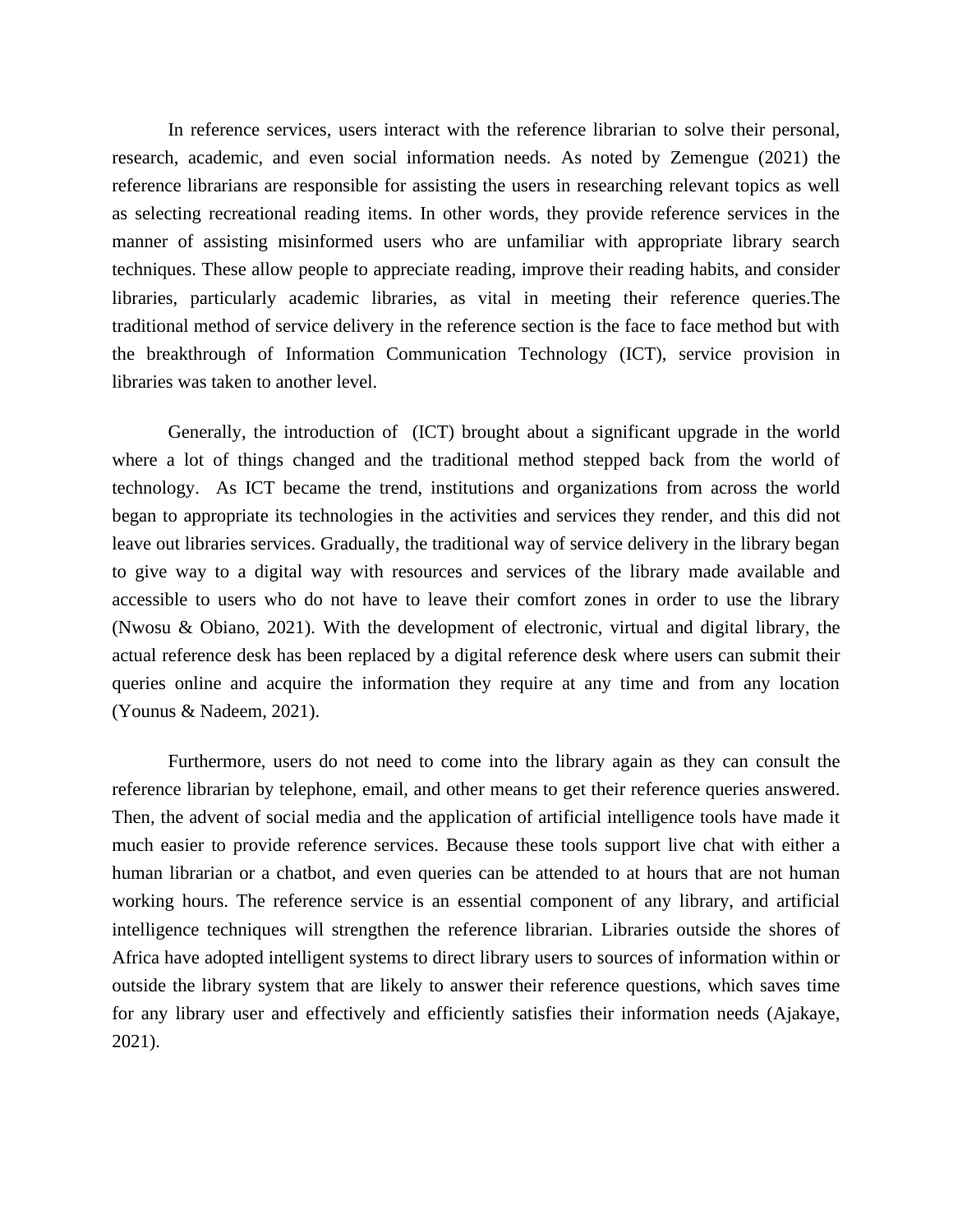In reference services, users interact with the reference librarian to solve their personal, research, academic, and even social information needs. As noted by Zemengue (2021) the reference librarians are responsible for assisting the users in researching relevant topics as well as selecting recreational reading items. In other words, they provide reference services in the manner of assisting misinformed users who are unfamiliar with appropriate library search techniques. These allow people to appreciate reading, improve their reading habits, and consider libraries, particularly academic libraries, as vital in meeting their reference queries.The traditional method of service delivery in the reference section is the face to face method but with the breakthrough of Information Communication Technology (ICT), service provision in libraries was taken to another level.

Generally, the introduction of (ICT) brought about a significant upgrade in the world where a lot of things changed and the traditional method stepped back from the world of technology. As ICT became the trend, institutions and organizations from across the world began to appropriate its technologies in the activities and services they render, and this did not leave out libraries services. Gradually, the traditional way of service delivery in the library began to give way to a digital way with resources and services of the library made available and accessible to users who do not have to leave their comfort zones in order to use the library (Nwosu & Obiano, 2021). With the development of electronic, virtual and digital library, the actual reference desk has been replaced by a digital reference desk where users can submit their queries online and acquire the information they require at any time and from any location (Younus & Nadeem, 2021).

Furthermore, users do not need to come into the library again as they can consult the reference librarian by telephone, email, and other means to get their reference queries answered. Then, the advent of social media and the application of artificial intelligence tools have made it much easier to provide reference services. Because these tools support live chat with either a human librarian or a chatbot, and even queries can be attended to at hours that are not human working hours. The reference service is an essential component of any library, and artificial intelligence techniques will strengthen the reference librarian. Libraries outside the shores of Africa have adopted intelligent systems to direct library users to sources of information within or outside the library system that are likely to answer their reference questions, which saves time for any library user and effectively and efficiently satisfies their information needs (Ajakaye, 2021).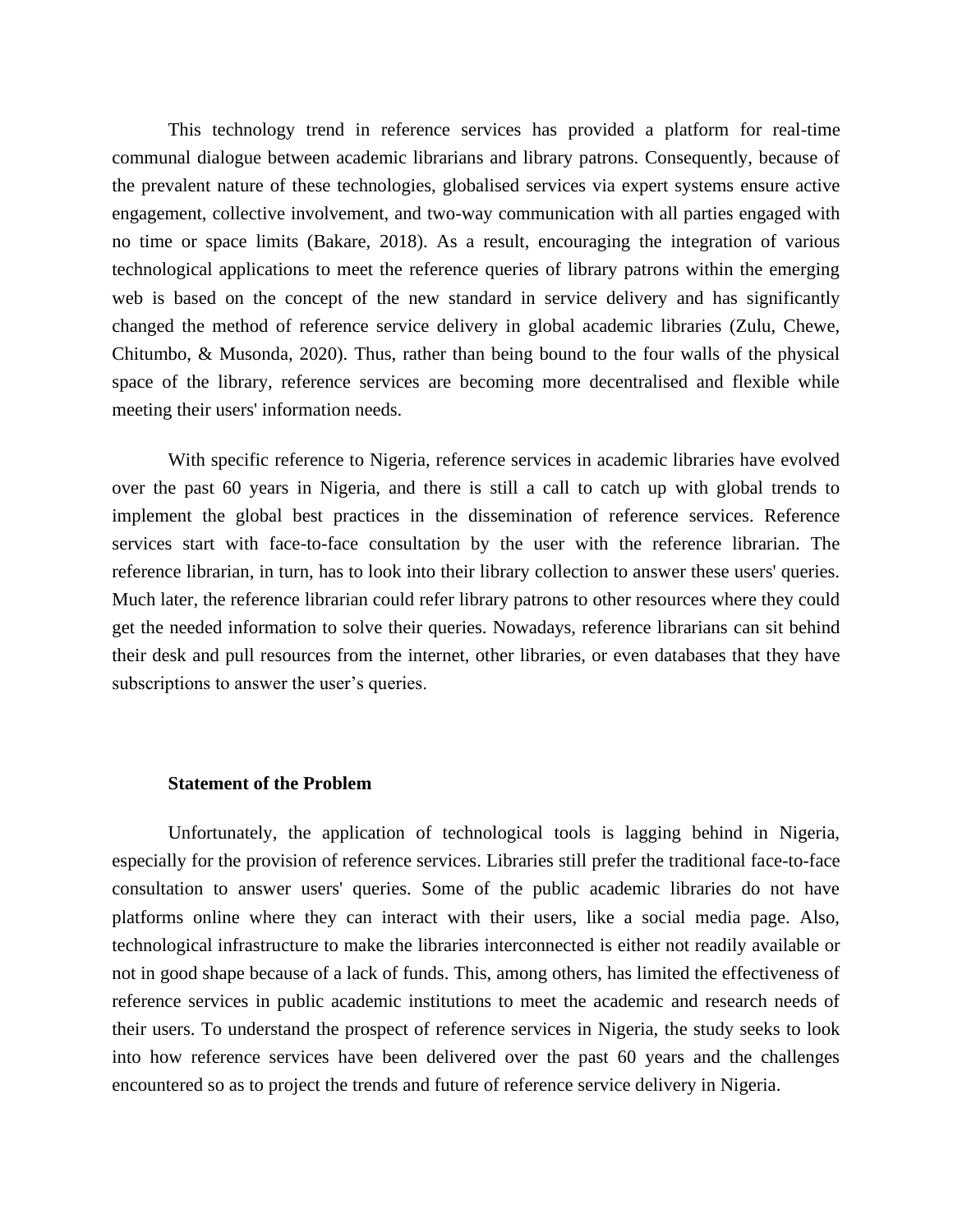This technology trend in reference services has provided a platform for real-time communal dialogue between academic librarians and library patrons. Consequently, because of the prevalent nature of these technologies, globalised services via expert systems ensure active engagement, collective involvement, and two-way communication with all parties engaged with no time or space limits (Bakare, 2018). As a result, encouraging the integration of various technological applications to meet the reference queries of library patrons within the emerging web is based on the concept of the new standard in service delivery and has significantly changed the method of reference service delivery in global academic libraries (Zulu, Chewe, Chitumbo, & Musonda, 2020). Thus, rather than being bound to the four walls of the physical space of the library, reference services are becoming more decentralised and flexible while meeting their users' information needs.

With specific reference to Nigeria, reference services in academic libraries have evolved over the past 60 years in Nigeria, and there is still a call to catch up with global trends to implement the global best practices in the dissemination of reference services. Reference services start with face-to-face consultation by the user with the reference librarian. The reference librarian, in turn, has to look into their library collection to answer these users' queries. Much later, the reference librarian could refer library patrons to other resources where they could get the needed information to solve their queries. Nowadays, reference librarians can sit behind their desk and pull resources from the internet, other libraries, or even databases that they have subscriptions to answer the user's queries.

#### **Statement of the Problem**

Unfortunately, the application of technological tools is lagging behind in Nigeria, especially for the provision of reference services. Libraries still prefer the traditional face-to-face consultation to answer users' queries. Some of the public academic libraries do not have platforms online where they can interact with their users, like a social media page. Also, technological infrastructure to make the libraries interconnected is either not readily available or not in good shape because of a lack of funds. This, among others, has limited the effectiveness of reference services in public academic institutions to meet the academic and research needs of their users. To understand the prospect of reference services in Nigeria, the study seeks to look into how reference services have been delivered over the past 60 years and the challenges encountered so as to project the trends and future of reference service delivery in Nigeria.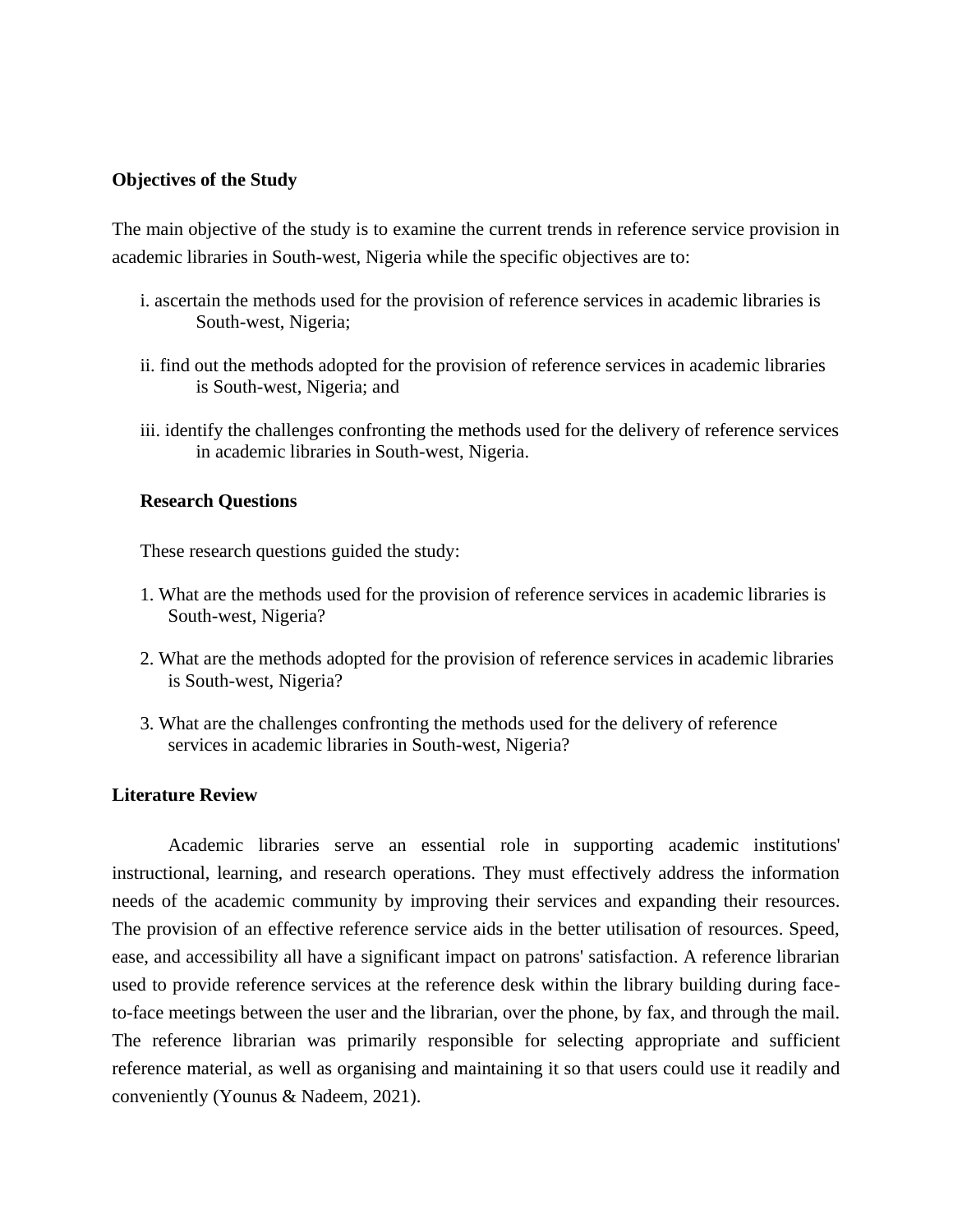# **Objectives of the Study**

The main objective of the study is to examine the current trends in reference service provision in academic libraries in South-west, Nigeria while the specific objectives are to:

- i. ascertain the methods used for the provision of reference services in academic libraries is South-west, Nigeria;
- ii. find out the methods adopted for the provision of reference services in academic libraries is South-west, Nigeria; and
- iii. identify the challenges confronting the methods used for the delivery of reference services in academic libraries in South-west, Nigeria.

# **Research Questions**

These research questions guided the study:

- 1. What are the methods used for the provision of reference services in academic libraries is South-west, Nigeria?
- 2. What are the methods adopted for the provision of reference services in academic libraries is South-west, Nigeria?
- 3. What are the challenges confronting the methods used for the delivery of reference services in academic libraries in South-west, Nigeria?

# **Literature Review**

Academic libraries serve an essential role in supporting academic institutions' instructional, learning, and research operations. They must effectively address the information needs of the academic community by improving their services and expanding their resources. The provision of an effective reference service aids in the better utilisation of resources. Speed, ease, and accessibility all have a significant impact on patrons' satisfaction. A reference librarian used to provide reference services at the reference desk within the library building during faceto-face meetings between the user and the librarian, over the phone, by fax, and through the mail. The reference librarian was primarily responsible for selecting appropriate and sufficient reference material, as well as organising and maintaining it so that users could use it readily and conveniently (Younus & Nadeem, 2021).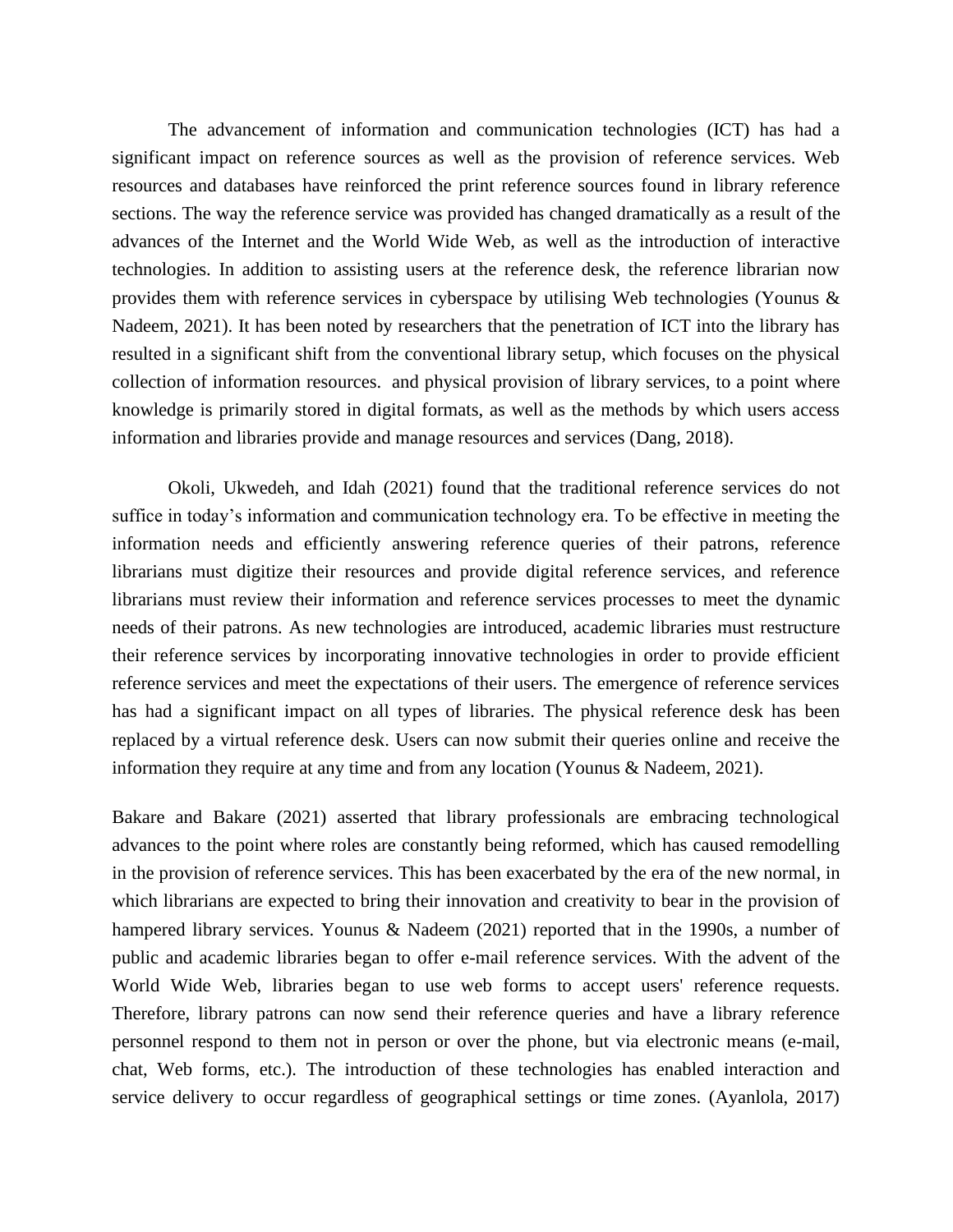The advancement of information and communication technologies (ICT) has had a significant impact on reference sources as well as the provision of reference services. Web resources and databases have reinforced the print reference sources found in library reference sections. The way the reference service was provided has changed dramatically as a result of the advances of the Internet and the World Wide Web, as well as the introduction of interactive technologies. In addition to assisting users at the reference desk, the reference librarian now provides them with reference services in cyberspace by utilising Web technologies (Younus & Nadeem, 2021). It has been noted by researchers that the penetration of ICT into the library has resulted in a significant shift from the conventional library setup, which focuses on the physical collection of information resources. and physical provision of library services, to a point where knowledge is primarily stored in digital formats, as well as the methods by which users access information and libraries provide and manage resources and services (Dang, 2018).

Okoli, Ukwedeh, and Idah (2021) found that the traditional reference services do not suffice in today's information and communication technology era. To be effective in meeting the information needs and efficiently answering reference queries of their patrons, reference librarians must digitize their resources and provide digital reference services, and reference librarians must review their information and reference services processes to meet the dynamic needs of their patrons. As new technologies are introduced, academic libraries must restructure their reference services by incorporating innovative technologies in order to provide efficient reference services and meet the expectations of their users. The emergence of reference services has had a significant impact on all types of libraries. The physical reference desk has been replaced by a virtual reference desk. Users can now submit their queries online and receive the information they require at any time and from any location (Younus & Nadeem, 2021).

Bakare and Bakare (2021) asserted that library professionals are embracing technological advances to the point where roles are constantly being reformed, which has caused remodelling in the provision of reference services. This has been exacerbated by the era of the new normal, in which librarians are expected to bring their innovation and creativity to bear in the provision of hampered library services. Younus & Nadeem (2021) reported that in the 1990s, a number of public and academic libraries began to offer e-mail reference services. With the advent of the World Wide Web, libraries began to use web forms to accept users' reference requests. Therefore, library patrons can now send their reference queries and have a library reference personnel respond to them not in person or over the phone, but via electronic means (e-mail, chat, Web forms, etc.). The introduction of these technologies has enabled interaction and service delivery to occur regardless of geographical settings or time zones. (Ayanlola, 2017)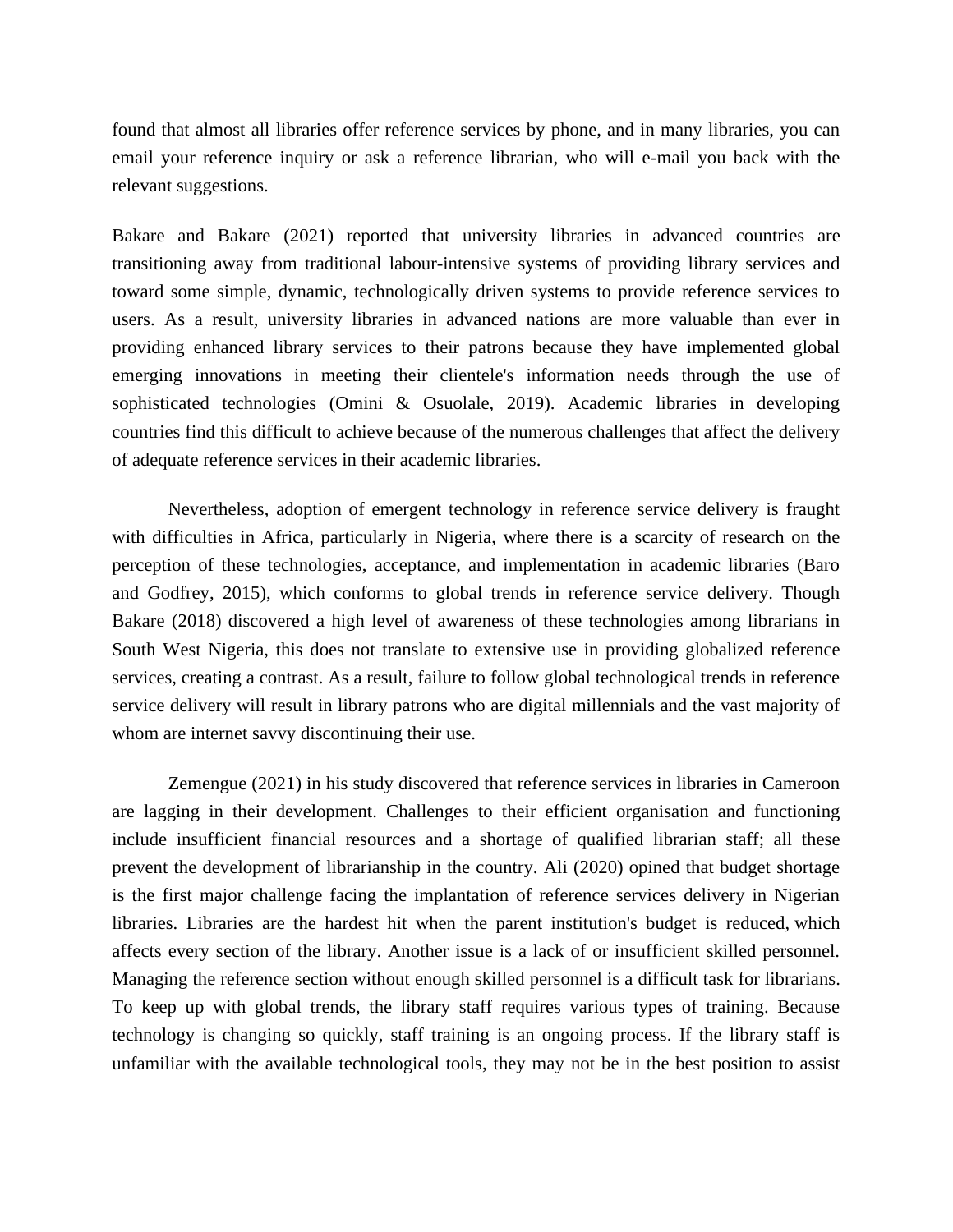found that almost all libraries offer reference services by phone, and in many libraries, you can email your reference inquiry or ask a reference librarian, who will e-mail you back with the relevant suggestions.

Bakare and Bakare (2021) reported that university libraries in advanced countries are transitioning away from traditional labour-intensive systems of providing library services and toward some simple, dynamic, technologically driven systems to provide reference services to users. As a result, university libraries in advanced nations are more valuable than ever in providing enhanced library services to their patrons because they have implemented global emerging innovations in meeting their clientele's information needs through the use of sophisticated technologies (Omini & Osuolale, 2019). Academic libraries in developing countries find this difficult to achieve because of the numerous challenges that affect the delivery of adequate reference services in their academic libraries.

Nevertheless, adoption of emergent technology in reference service delivery is fraught with difficulties in Africa, particularly in Nigeria, where there is a scarcity of research on the perception of these technologies, acceptance, and implementation in academic libraries (Baro and Godfrey, 2015), which conforms to global trends in reference service delivery. Though Bakare (2018) discovered a high level of awareness of these technologies among librarians in South West Nigeria, this does not translate to extensive use in providing globalized reference services, creating a contrast. As a result, failure to follow global technological trends in reference service delivery will result in library patrons who are digital millennials and the vast majority of whom are internet savvy discontinuing their use.

Zemengue (2021) in his study discovered that reference services in libraries in Cameroon are lagging in their development. Challenges to their efficient organisation and functioning include insufficient financial resources and a shortage of qualified librarian staff; all these prevent the development of librarianship in the country. Ali (2020) opined that budget shortage is the first major challenge facing the implantation of reference services delivery in Nigerian libraries. Libraries are the hardest hit when the parent institution's budget is reduced, which affects every section of the library. Another issue is a lack of or insufficient skilled personnel. Managing the reference section without enough skilled personnel is a difficult task for librarians. To keep up with global trends, the library staff requires various types of training. Because technology is changing so quickly, staff training is an ongoing process. If the library staff is unfamiliar with the available technological tools, they may not be in the best position to assist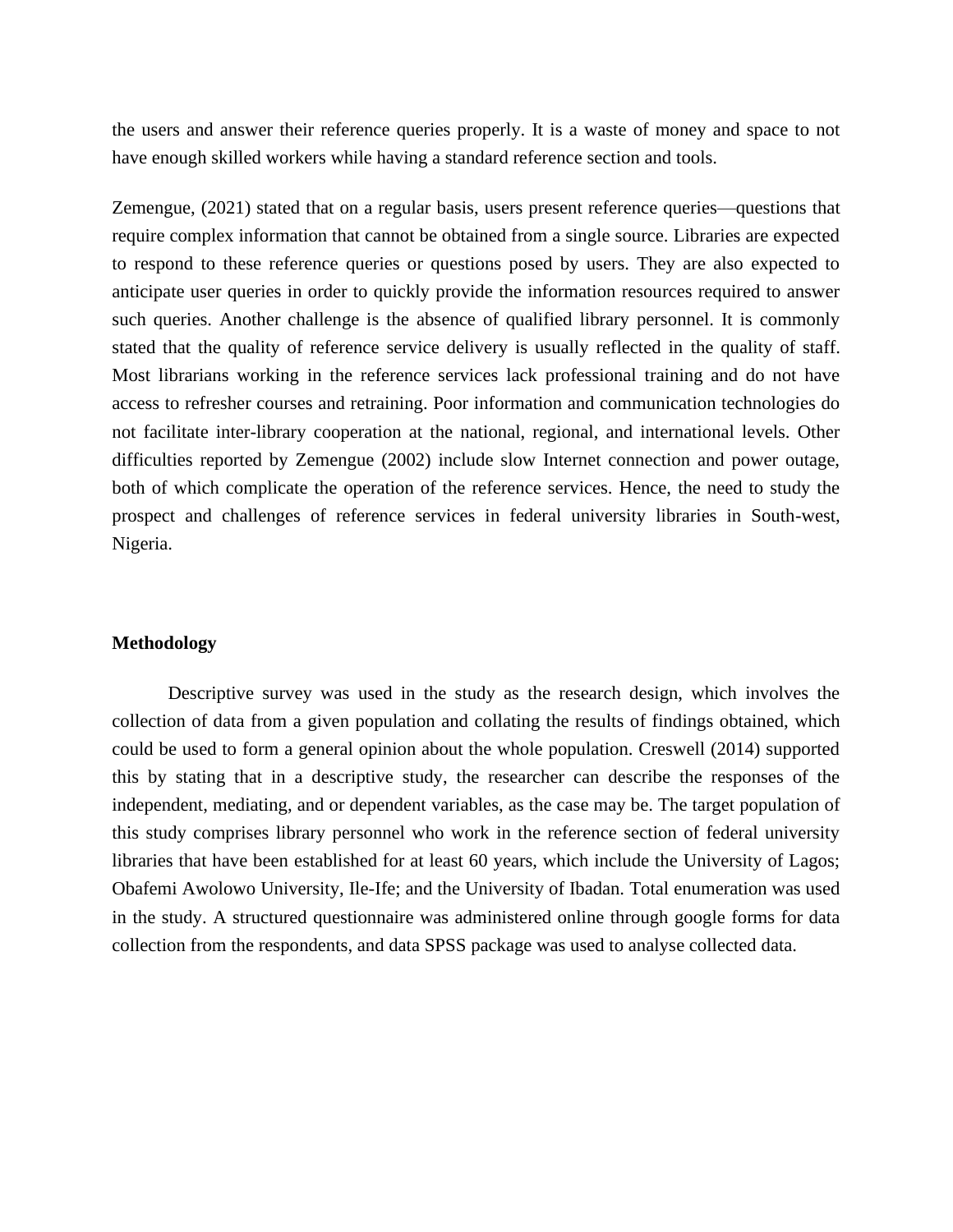the users and answer their reference queries properly. It is a waste of money and space to not have enough skilled workers while having a standard reference section and tools.

Zemengue, (2021) stated that on a regular basis, users present reference queries—questions that require complex information that cannot be obtained from a single source. Libraries are expected to respond to these reference queries or questions posed by users. They are also expected to anticipate user queries in order to quickly provide the information resources required to answer such queries. Another challenge is the absence of qualified library personnel. It is commonly stated that the quality of reference service delivery is usually reflected in the quality of staff. Most librarians working in the reference services lack professional training and do not have access to refresher courses and retraining. Poor information and communication technologies do not facilitate inter-library cooperation at the national, regional, and international levels. Other difficulties reported by Zemengue (2002) include slow Internet connection and power outage, both of which complicate the operation of the reference services. Hence, the need to study the prospect and challenges of reference services in federal university libraries in South-west, Nigeria.

## **Methodology**

Descriptive survey was used in the study as the research design, which involves the collection of data from a given population and collating the results of findings obtained, which could be used to form a general opinion about the whole population. Creswell (2014) supported this by stating that in a descriptive study, the researcher can describe the responses of the independent, mediating, and or dependent variables, as the case may be. The target population of this study comprises library personnel who work in the reference section of federal university libraries that have been established for at least 60 years, which include the University of Lagos; Obafemi Awolowo University, Ile-Ife; and the University of Ibadan. Total enumeration was used in the study. A structured questionnaire was administered online through google forms for data collection from the respondents, and data SPSS package was used to analyse collected data.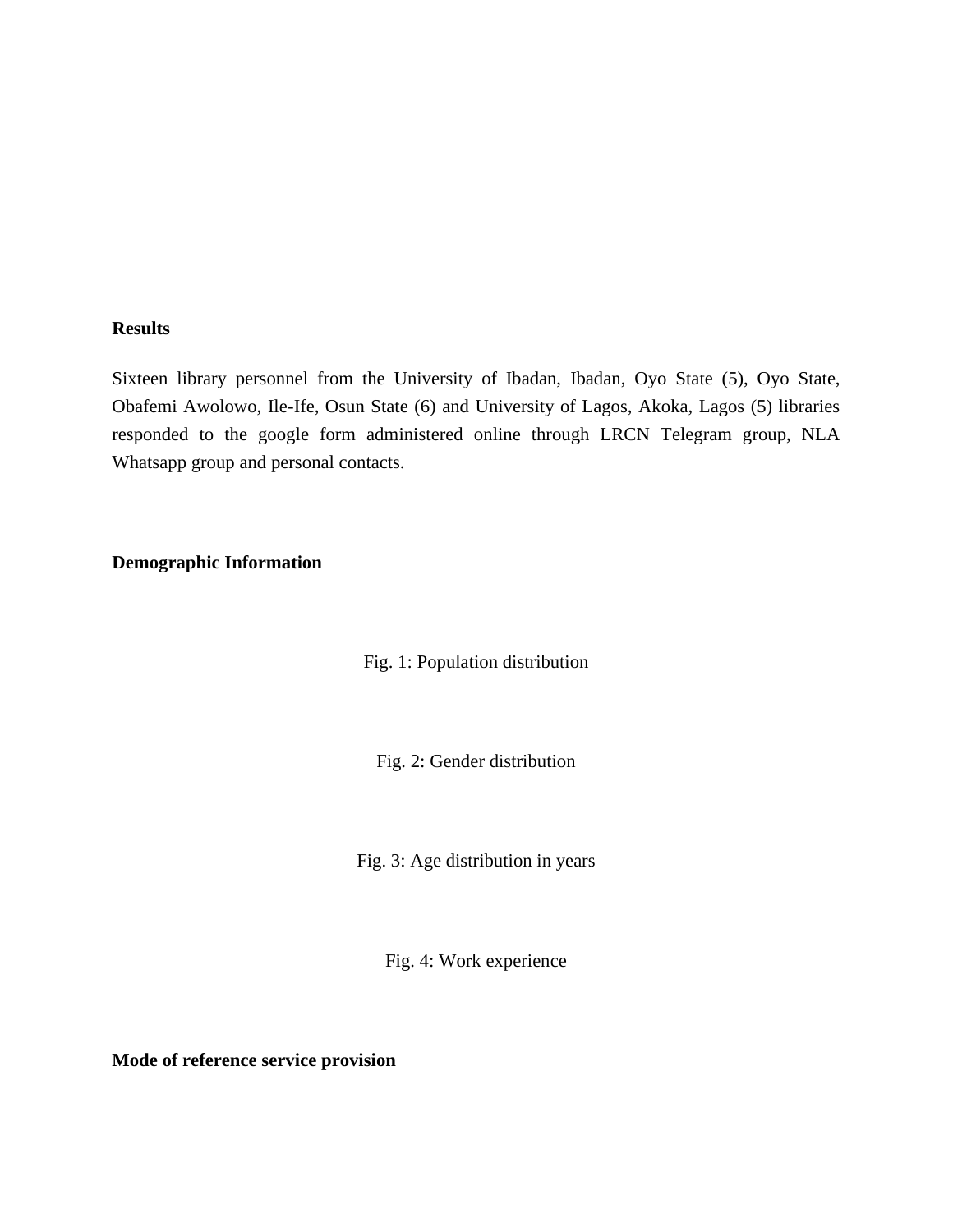# **Results**

Sixteen library personnel from the University of Ibadan, Ibadan, Oyo State (5), Oyo State, Obafemi Awolowo, Ile-Ife, Osun State (6) and University of Lagos, Akoka, Lagos (5) libraries responded to the google form administered online through LRCN Telegram group, NLA Whatsapp group and personal contacts.

# **Demographic Information**

Fig. 1: Population distribution

Fig. 2: Gender distribution

Fig. 3: Age distribution in years

Fig. 4: Work experience

**Mode of reference service provision**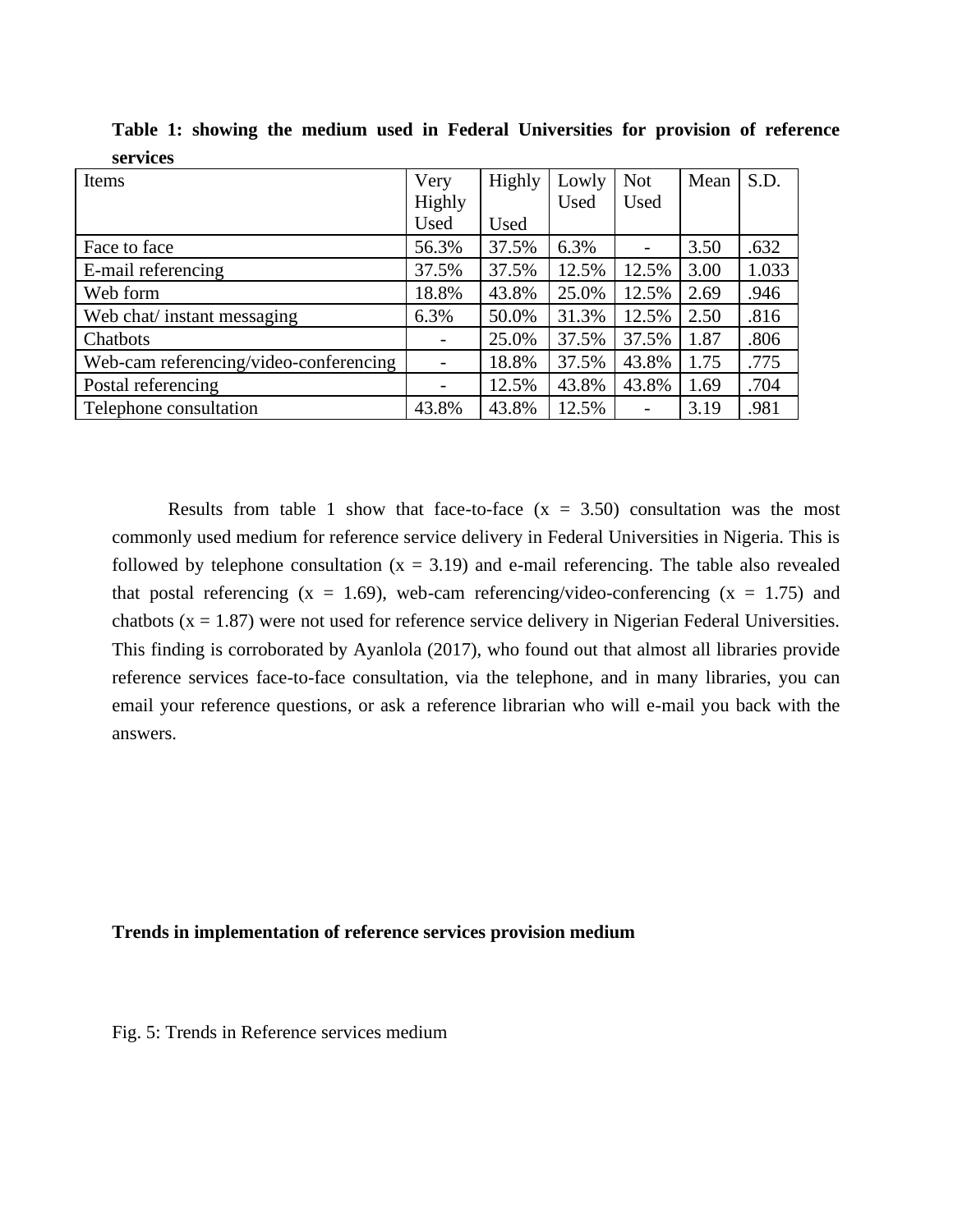| Items                                  | Very              | Highly | Lowly | <b>Not</b> | Mean | S.D.  |
|----------------------------------------|-------------------|--------|-------|------------|------|-------|
|                                        | Highly            |        | Used  | Used       |      |       |
|                                        | Used              | Used   |       |            |      |       |
| Face to face                           | 56.3%             | 37.5%  | 6.3%  |            | 3.50 | .632  |
| E-mail referencing                     | 37.5%             | 37.5%  | 12.5% | 12.5%      | 3.00 | 1.033 |
| Web form                               | 18.8%             | 43.8%  | 25.0% | 12.5%      | 2.69 | .946  |
| Web chat/ instant messaging            | 6.3%              | 50.0%  | 31.3% | 12.5%      | 2.50 | .816  |
| Chatbots                               |                   | 25.0%  | 37.5% | 37.5%      | 1.87 | .806  |
| Web-cam referencing/video-conferencing | $\qquad \qquad -$ | 18.8%  | 37.5% | 43.8%      | 1.75 | .775  |
| Postal referencing                     |                   | 12.5%  | 43.8% | 43.8%      | 1.69 | .704  |
| Telephone consultation                 | 43.8%             | 43.8%  | 12.5% | -          | 3.19 | .981  |

**Table 1: showing the medium used in Federal Universities for provision of reference services**

Results from table 1 show that face-to-face  $(x = 3.50)$  consultation was the most commonly used medium for reference service delivery in Federal Universities in Nigeria. This is followed by telephone consultation  $(x = 3.19)$  and e-mail referencing. The table also revealed that postal referencing  $(x = 1.69)$ , web-cam referencing/video-conferencing  $(x = 1.75)$  and chatbots ( $x = 1.87$ ) were not used for reference service delivery in Nigerian Federal Universities. This finding is corroborated by Ayanlola (2017), who found out that almost all libraries provide reference services face-to-face consultation, via the telephone, and in many libraries, you can email your reference questions, or ask a reference librarian who will e-mail you back with the answers.

# **Trends in implementation of reference services provision medium**

Fig. 5: Trends in Reference services medium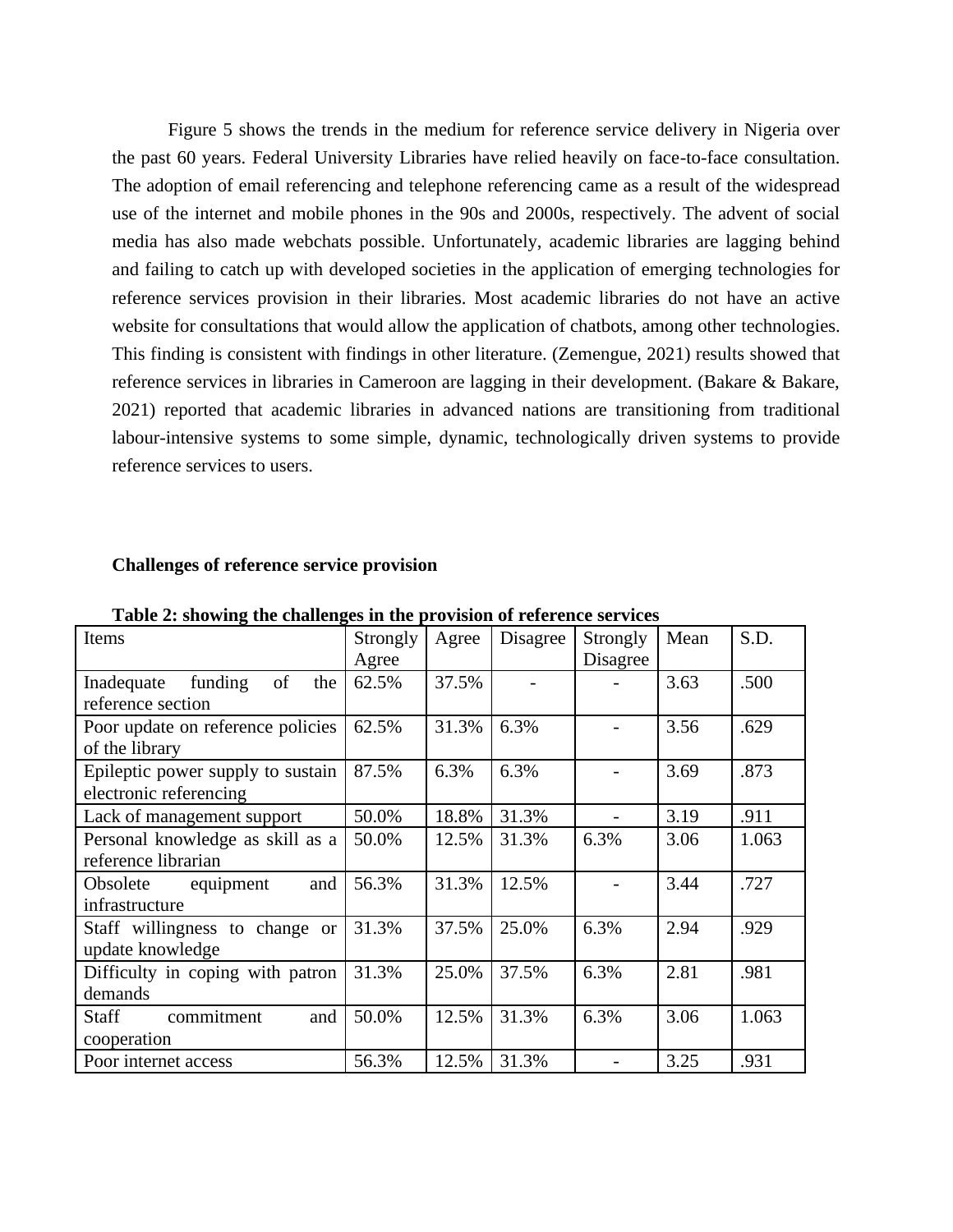Figure 5 shows the trends in the medium for reference service delivery in Nigeria over the past 60 years. Federal University Libraries have relied heavily on face-to-face consultation. The adoption of email referencing and telephone referencing came as a result of the widespread use of the internet and mobile phones in the 90s and 2000s, respectively. The advent of social media has also made webchats possible. Unfortunately, academic libraries are lagging behind and failing to catch up with developed societies in the application of emerging technologies for reference services provision in their libraries. Most academic libraries do not have an active website for consultations that would allow the application of chatbots, among other technologies. This finding is consistent with findings in other literature. (Zemengue, 2021) results showed that reference services in libraries in Cameroon are lagging in their development. (Bakare & Bakare, 2021) reported that academic libraries in advanced nations are transitioning from traditional labour-intensive systems to some simple, dynamic, technologically driven systems to provide reference services to users.

#### **Challenges of reference service provision**

| Items                                                       | Strongly<br>Agree | Agree | Disagree | Strongly<br>Disagree | Mean | S.D.  |
|-------------------------------------------------------------|-------------------|-------|----------|----------------------|------|-------|
| Inadequate funding of<br>the<br>reference section           | 62.5%             | 37.5% |          |                      | 3.63 | .500  |
| Poor update on reference policies<br>of the library         | 62.5%             | 31.3% | 6.3%     |                      | 3.56 | .629  |
| Epileptic power supply to sustain<br>electronic referencing | 87.5%             | 6.3%  | 6.3%     |                      | 3.69 | .873  |
| Lack of management support                                  | 50.0%             | 18.8% | 31.3%    |                      | 3.19 | .911  |
| Personal knowledge as skill as a<br>reference librarian     | 50.0%             | 12.5% | 31.3%    | 6.3%                 | 3.06 | 1.063 |
| Obsolete equipment<br>and<br>infrastructure                 | 56.3%             | 31.3% | 12.5%    |                      | 3.44 | .727  |
| Staff willingness to change or<br>update knowledge          | 31.3%             | 37.5% | 25.0%    | 6.3%                 | 2.94 | .929  |
| Difficulty in coping with patron<br>demands                 | 31.3%             | 25.0% | 37.5%    | 6.3%                 | 2.81 | .981  |
| commitment<br>Staff<br>and<br>cooperation                   | 50.0%             | 12.5% | 31.3%    | 6.3%                 | 3.06 | 1.063 |
| Poor internet access                                        | 56.3%             | 12.5% | 31.3%    |                      | 3.25 | .931  |

**Table 2: showing the challenges in the provision of reference services**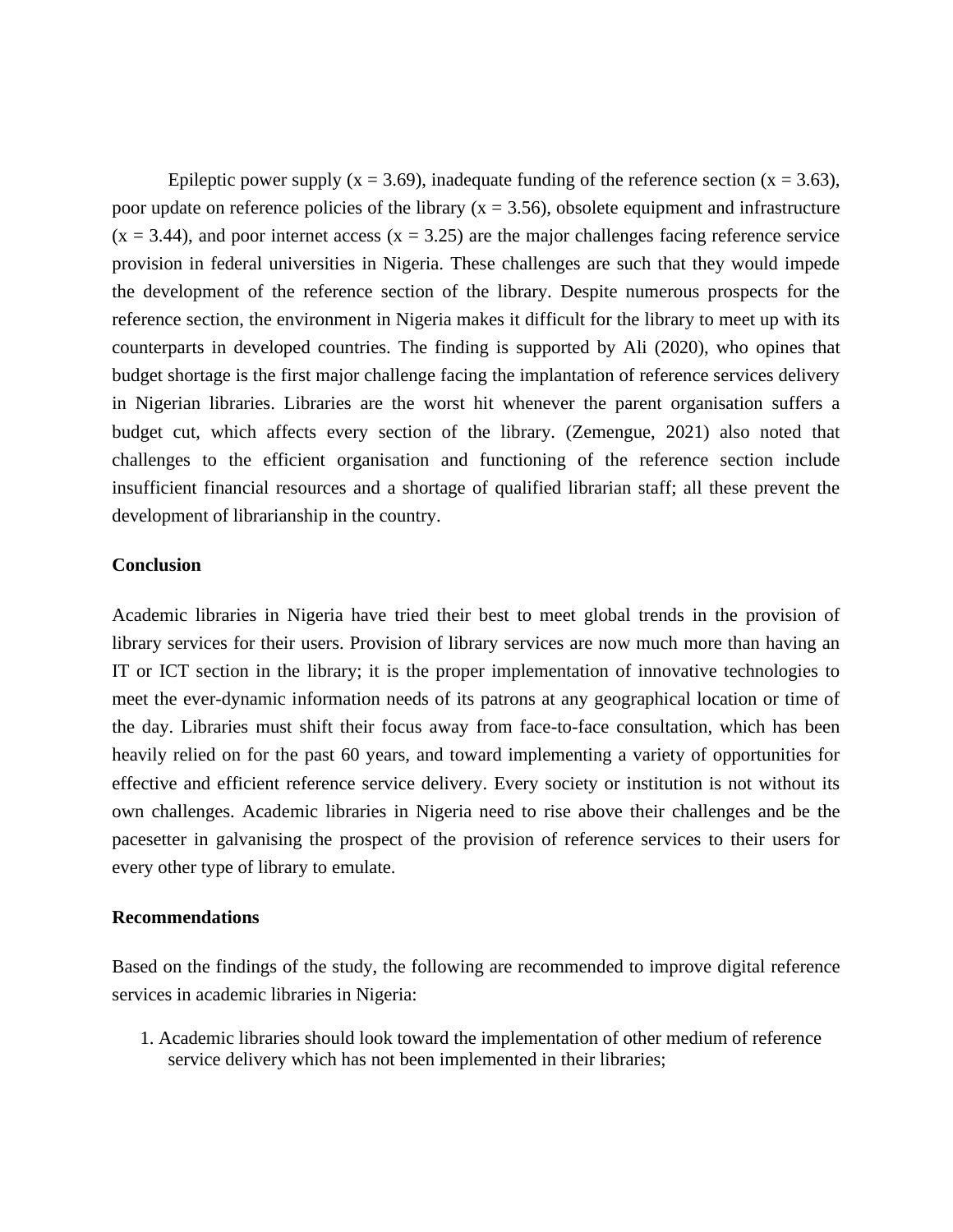Epileptic power supply ( $x = 3.69$ ), inadequate funding of the reference section ( $x = 3.63$ ), poor update on reference policies of the library ( $x = 3.56$ ), obsolete equipment and infrastructure  $(x = 3.44)$ , and poor internet access  $(x = 3.25)$  are the major challenges facing reference service provision in federal universities in Nigeria. These challenges are such that they would impede the development of the reference section of the library. Despite numerous prospects for the reference section, the environment in Nigeria makes it difficult for the library to meet up with its counterparts in developed countries. The finding is supported by Ali (2020), who opines that budget shortage is the first major challenge facing the implantation of reference services delivery in Nigerian libraries. Libraries are the worst hit whenever the parent organisation suffers a budget cut, which affects every section of the library. (Zemengue, 2021) also noted that challenges to the efficient organisation and functioning of the reference section include insufficient financial resources and a shortage of qualified librarian staff; all these prevent the development of librarianship in the country.

# **Conclusion**

Academic libraries in Nigeria have tried their best to meet global trends in the provision of library services for their users. Provision of library services are now much more than having an IT or ICT section in the library; it is the proper implementation of innovative technologies to meet the ever-dynamic information needs of its patrons at any geographical location or time of the day. Libraries must shift their focus away from face-to-face consultation, which has been heavily relied on for the past 60 years, and toward implementing a variety of opportunities for effective and efficient reference service delivery. Every society or institution is not without its own challenges. Academic libraries in Nigeria need to rise above their challenges and be the pacesetter in galvanising the prospect of the provision of reference services to their users for every other type of library to emulate.

## **Recommendations**

Based on the findings of the study, the following are recommended to improve digital reference services in academic libraries in Nigeria:

1. Academic libraries should look toward the implementation of other medium of reference service delivery which has not been implemented in their libraries;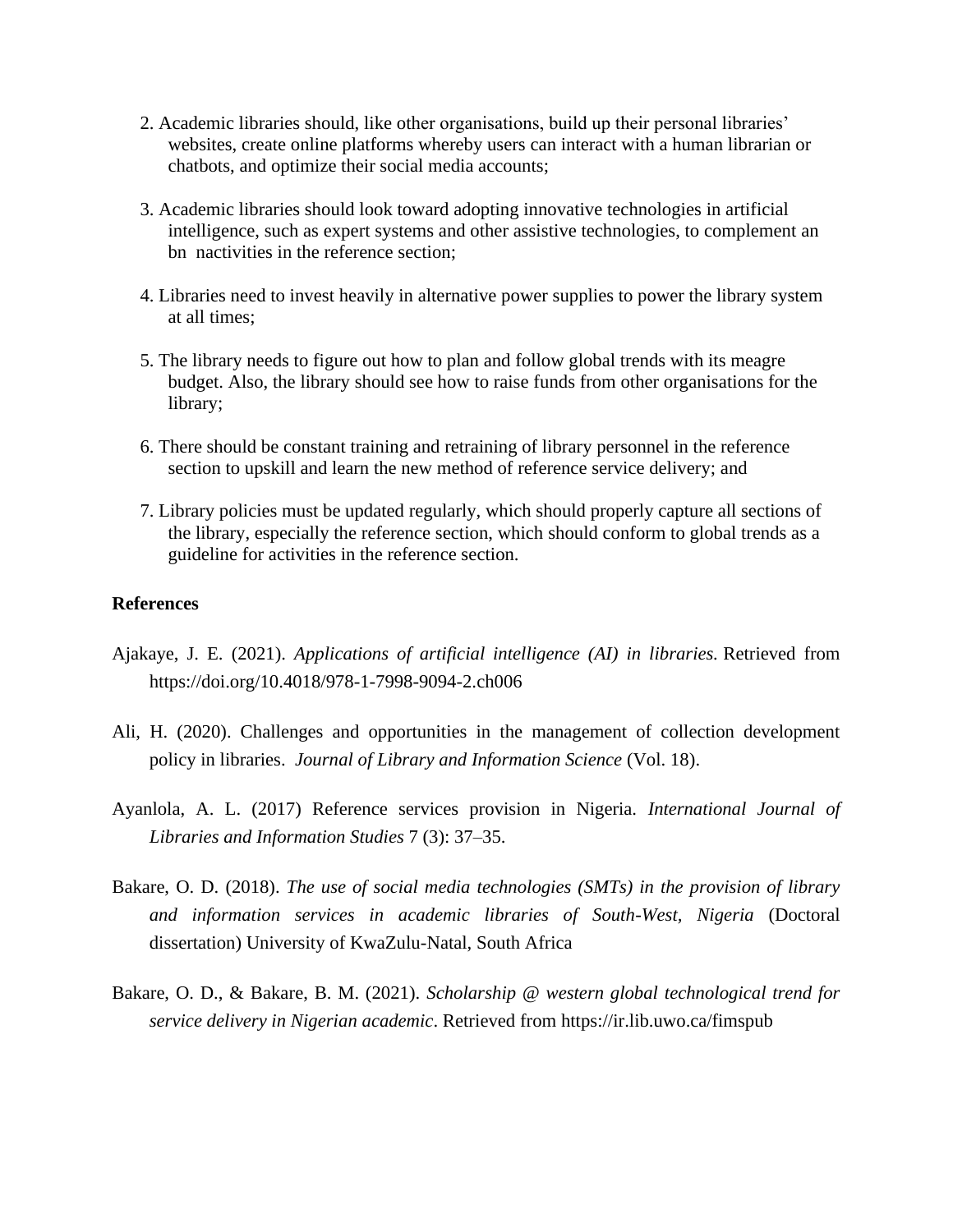- 2. Academic libraries should, like other organisations, build up their personal libraries' websites, create online platforms whereby users can interact with a human librarian or chatbots, and optimize their social media accounts;
- 3. Academic libraries should look toward adopting innovative technologies in artificial intelligence, such as expert systems and other assistive technologies, to complement an bn nactivities in the reference section;
- 4. Libraries need to invest heavily in alternative power supplies to power the library system at all times;
- 5. The library needs to figure out how to plan and follow global trends with its meagre budget. Also, the library should see how to raise funds from other organisations for the library;
- 6. There should be constant training and retraining of library personnel in the reference section to upskill and learn the new method of reference service delivery; and
- 7. Library policies must be updated regularly, which should properly capture all sections of the library, especially the reference section, which should conform to global trends as a guideline for activities in the reference section.

# **References**

- Ajakaye, J. E. (2021). *Applications of artificial intelligence (AI) in libraries.* Retrieved from https://doi.org/10.4018/978-1-7998-9094-2.ch006
- Ali, H. (2020). Challenges and opportunities in the management of collection development policy in libraries. *Journal of Library and Information Science* (Vol. 18).
- Ayanlola, A. L. (2017) Reference services provision in Nigeria. *International Journal of Libraries and Information Studies* 7 (3): 37–35.
- Bakare, O. D. (2018). *The use of social media technologies (SMTs) in the provision of library and information services in academic libraries of South-West, Nigeria* (Doctoral dissertation) University of KwaZulu-Natal, South Africa
- Bakare, O. D., & Bakare, B. M. (2021). *Scholarship @ western global technological trend for service delivery in Nigerian academic*. Retrieved from https://ir.lib.uwo.ca/fimspub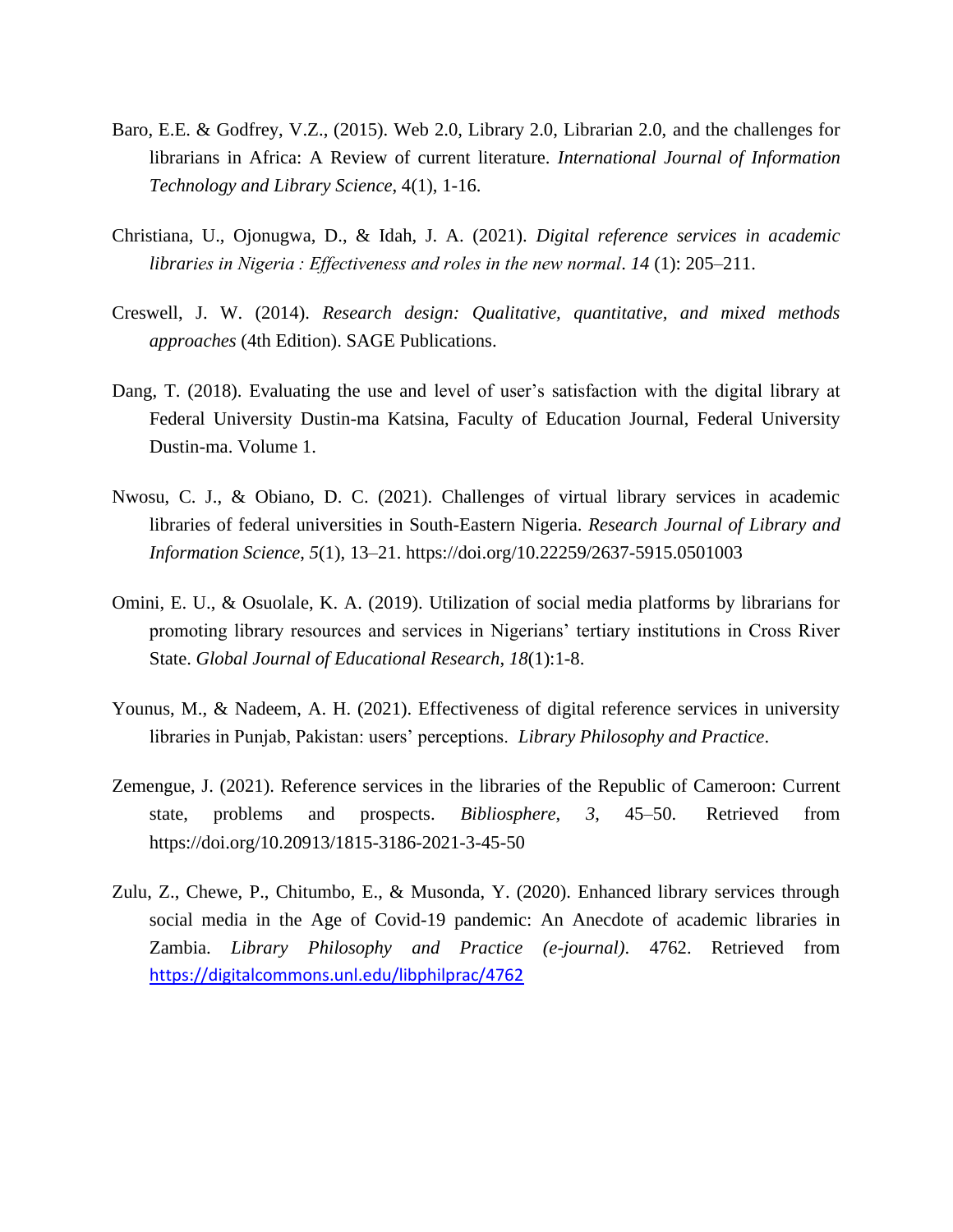- Baro, E.E. & Godfrey, V.Z., (2015). Web 2.0, Library 2.0, Librarian 2.0, and the challenges for librarians in Africa: A Review of current literature. *International Journal of Information Technology and Library Science*, 4(1), 1-16.
- Christiana, U., Ojonugwa, D., & Idah, J. A. (2021). *Digital reference services in academic libraries in Nigeria : Effectiveness and roles in the new normal*. *14* (1): 205–211.
- Creswell, J. W. (2014). *Research design: Qualitative, quantitative, and mixed methods approaches* (4th Edition). SAGE Publications.
- Dang, T. (2018). Evaluating the use and level of user's satisfaction with the digital library at Federal University Dustin-ma Katsina, Faculty of Education Journal, Federal University Dustin-ma. Volume 1.
- Nwosu, C. J., & Obiano, D. C. (2021). Challenges of virtual library services in academic libraries of federal universities in South-Eastern Nigeria. *Research Journal of Library and Information Science*, *5*(1), 13–21. https://doi.org/10.22259/2637-5915.0501003
- Omini, E. U., & Osuolale, K. A. (2019). Utilization of social media platforms by librarians for promoting library resources and services in Nigerians' tertiary institutions in Cross River State. *Global Journal of Educational Research*, *18*(1):1-8.
- Younus, M., & Nadeem, A. H. (2021). Effectiveness of digital reference services in university libraries in Punjab, Pakistan: users' perceptions. *Library Philosophy and Practice*.
- Zemengue, J. (2021). Reference services in the libraries of the Republic of Cameroon: Current state, problems and prospects. *Bibliosphere*, *3*, 45–50. Retrieved from https://doi.org/10.20913/1815-3186-2021-3-45-50
- Zulu, Z., Chewe, P., Chitumbo, E., & Musonda, Y. (2020). Enhanced library services through social media in the Age of Covid-19 pandemic: An Anecdote of academic libraries in Zambia. *Library Philosophy and Practice (e-journal)*. 4762. Retrieved from <https://digitalcommons.unl.edu/libphilprac/4762>